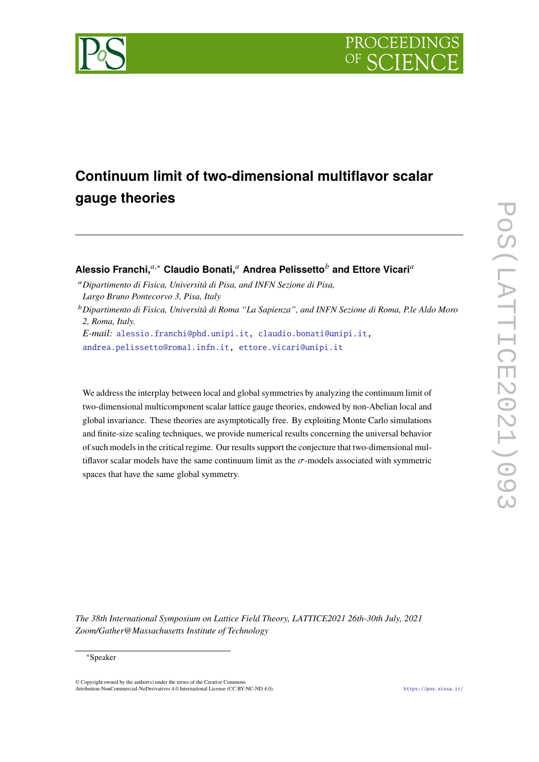



# **Continuum limit of two-dimensional multiflavor scalar gauge theories**

# **Alessio Franchi,**<sup>*a*,∗</sup> Claudio Bonati,<sup>*a*</sup> Andrea Pelissetto<sup>*b*</sup> and Ettore Vicari<sup>*a*</sup>

<sup>𝑎</sup>*Dipartimento di Fisica, Università di Pisa, and INFN Sezione di Pisa, Largo Bruno Pontecorvo 3, Pisa, Italy*

<sup>𝑏</sup>*Dipartimento di Fisica, Università di Roma "La Sapienza", and INFN Sezione di Roma, P.le Aldo Moro 2, Roma, Italy.*

*E-mail:* [alessio.franchi@phd.unipi.it,](mailto:alessio.franchi@phd.unipi.it) [claudio.bonati@unipi.it,](mailto:claudio.bonati@unipi.it)

[andrea.pelissetto@roma1.infn.it,](mailto:andrea.pelissetto@roma1.infn.it) [ettore.vicari@unipi.it](mailto:ettore.vicari@unipi.it)

We address the interplay between local and global symmetries by analyzing the continuum limit of two-dimensional multicomponent scalar lattice gauge theories, endowed by non-Abelian local and global invariance. These theories are asymptotically free. By exploiting Monte Carlo simulations and finite-size scaling techniques, we provide numerical results concerning the universal behavior of such models in the critical regime. Our results support the conjecture that two-dimensional multiflavor scalar models have the same continuum limit as the  $\sigma$ -models associated with symmetric spaces that have the same global symmetry.

*The 38th International Symposium on Lattice Field Theory, LATTICE2021 26th-30th July, 2021 Zoom/Gather@Massachusetts Institute of Technology*

#### <sup>∗</sup>Speaker

 $\odot$  Copyright owned by the author(s) under the terms of the Creative Common Attribution-NonCommercial-NoDerivatives 4.0 International License (CC BY-NC-ND 4.0). <https://pos.sissa.it/>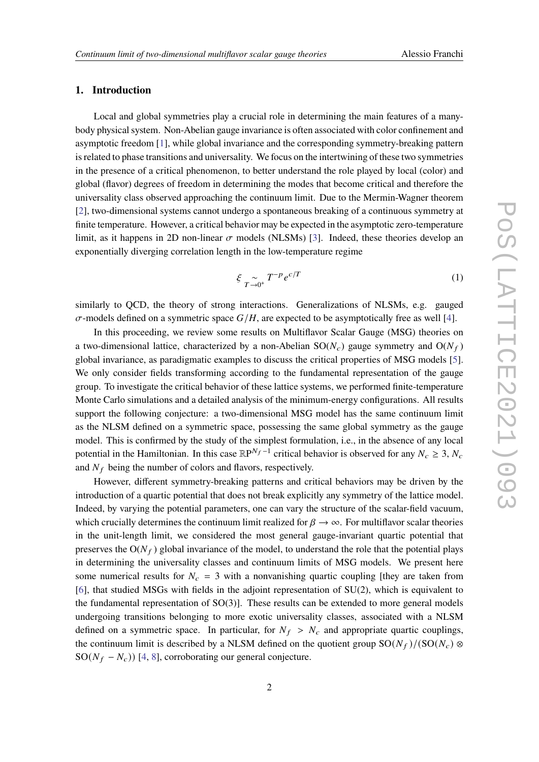## **1. Introduction**

Local and global symmetries play a crucial role in determining the main features of a manybody physical system. Non-Abelian gauge invariance is often associated with color confinement and asymptotic freedom [\[1\]](#page-6-0), while global invariance and the corresponding symmetry-breaking pattern is related to phase transitions and universality. We focus on the intertwining of these two symmetries in the presence of a critical phenomenon, to better understand the role played by local (color) and global (flavor) degrees of freedom in determining the modes that become critical and therefore the universality class observed approaching the continuum limit. Due to the Mermin-Wagner theorem [\[2\]](#page-6-1), two-dimensional systems cannot undergo a spontaneous breaking of a continuous symmetry at finite temperature. However, a critical behavior may be expected in the asymptotic zero-temperature limit, as it happens in 2D non-linear  $\sigma$  models (NLSMs) [\[3\]](#page-6-2). Indeed, these theories develop an exponentially diverging correlation length in the low-temperature regime

$$
\xi \underset{T \to 0^+}{\sim} T^{-p} e^{c/T} \tag{1}
$$

similarly to QCD, the theory of strong interactions. Generalizations of NLSMs, e.g. gauged  $\sigma$ -models defined on a symmetric space  $G/H$ , are expected to be asymptotically free as well [\[4\]](#page-6-3).

In this proceeding, we review some results on Multiflavor Scalar Gauge (MSG) theories on a two-dimensional lattice, characterized by a non-Abelian  $SO(N_c)$  gauge symmetry and  $O(N_f)$ global invariance, as paradigmatic examples to discuss the critical properties of MSG models [\[5\]](#page-6-4). We only consider fields transforming according to the fundamental representation of the gauge group. To investigate the critical behavior of these lattice systems, we performed finite-temperature Monte Carlo simulations and a detailed analysis of the minimum-energy configurations. All results support the following conjecture: a two-dimensional MSG model has the same continuum limit as the NLSM defined on a symmetric space, possessing the same global symmetry as the gauge model. This is confirmed by the study of the simplest formulation, i.e., in the absence of any local potential in the Hamiltonian. In this case  $\mathbb{R}P^{N_f-1}$  critical behavior is observed for any  $N_c \geq 3$ ,  $N_c$ and  $N_f$  being the number of colors and flavors, respectively.

However, different symmetry-breaking patterns and critical behaviors may be driven by the introduction of a quartic potential that does not break explicitly any symmetry of the lattice model. Indeed, by varying the potential parameters, one can vary the structure of the scalar-field vacuum, which crucially determines the continuum limit realized for  $\beta \to \infty$ . For multiflavor scalar theories in the unit-length limit, we considered the most general gauge-invariant quartic potential that preserves the  $O(N_f)$  global invariance of the model, to understand the role that the potential plays in determining the universality classes and continuum limits of MSG models. We present here some numerical results for  $N_c = 3$  with a nonvanishing quartic coupling [they are taken from [\[6\]](#page-6-5), that studied MSGs with fields in the adjoint representation of SU(2), which is equivalent to the fundamental representation of  $SO(3)$ . These results can be extended to more general models undergoing transitions belonging to more exotic universality classes, associated with a NLSM defined on a symmetric space. In particular, for  $N_f > N_c$  and appropriate quartic couplings, the continuum limit is described by a NLSM defined on the quotient group  $SO(N_f)/(SO(N_c) \otimes$ SO( $N_f - N_c$ )) [\[4,](#page-6-3) [8\]](#page-6-6), corroborating our general conjecture.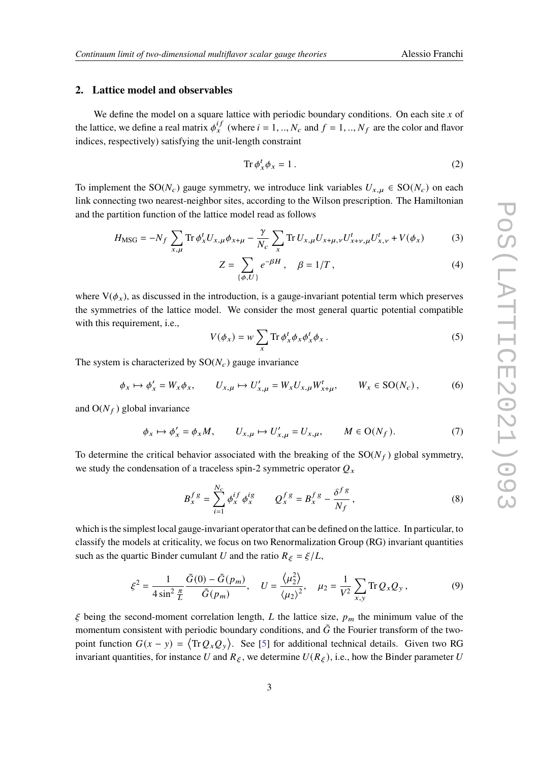### **2. Lattice model and observables**

We define the model on a square lattice with periodic boundary conditions. On each site  $x$  of the lattice, we define a real matrix  $\phi_x^{if}$  (where  $i = 1, ..., N_c$  and  $f = 1, ..., N_f$  are the color and flavor indices, respectively) satisfying the unit-length constraint

$$
\operatorname{Tr}\phi_x^t \phi_x = 1\,. \tag{2}
$$

To implement the SO( $N_c$ ) gauge symmetry, we introduce link variables  $U_{x,\mu} \in SO(N_c)$  on each link connecting two nearest-neighbor sites, according to the Wilson prescription. The Hamiltonian and the partition function of the lattice model read as follows

$$
H_{\rm{MSG}} = -N_f \sum_{x,\mu} \text{Tr} \, \phi_x^t U_{x,\mu} \phi_{x+\mu} - \frac{\gamma}{N_c} \sum_x \text{Tr} \, U_{x,\mu} U_{x+\mu,\nu} U_{x+\nu,\mu}^t U_{x,\nu}^t + V(\phi_x) \tag{3}
$$

$$
Z = \sum_{\{\phi, U\}} e^{-\beta H} , \quad \beta = 1/T , \tag{4}
$$

where  $V(\phi_x)$ , as discussed in the introduction, is a gauge-invariant potential term which preserves the symmetries of the lattice model. We consider the most general quartic potential compatible with this requirement, i.e.,

$$
V(\phi_x) = w \sum_x \text{Tr} \, \phi_x^t \phi_x \phi_x^t \phi_x \,. \tag{5}
$$

The system is characterized by  $SO(N_c)$  gauge invariance

$$
\phi_x \mapsto \phi'_x = W_x \phi_x, \qquad U_{x,\mu} \mapsto U'_{x,\mu} = W_x U_{x,\mu} W^t_{x+\mu}, \qquad W_x \in \text{SO}(N_c), \tag{6}
$$

and  $O(N_f)$  global invariance

$$
\phi_x \mapsto \phi'_x = \phi_x M, \qquad U_{x,\mu} \mapsto U'_{x,\mu} = U_{x,\mu}, \qquad M \in \mathcal{O}(N_f). \tag{7}
$$

To determine the critical behavior associated with the breaking of the  $SO(N_f)$  global symmetry, we study the condensation of a traceless spin-2 symmetric operator  $Q_x$ 

$$
B_x^{fg} = \sum_{i=1}^{N_c} \phi_x^{if} \phi_x^{ig} \qquad Q_x^{fg} = B_x^{fg} - \frac{\delta^{fg}}{N_f},\tag{8}
$$

which is the simplest local gauge-invariant operator that can be defined on the lattice. In particular, to classify the models at criticality, we focus on two Renormalization Group (RG) invariant quantities such as the quartic Binder cumulant U and the ratio  $R_{\xi} = \xi/L$ ,

$$
\xi^2 = \frac{1}{4\sin^2\frac{\pi}{L}}\frac{\tilde{G}(0) - \tilde{G}(p_m)}{\tilde{G}(p_m)}, \quad U = \frac{\langle \mu_2^2 \rangle}{\langle \mu_2 \rangle^2}, \quad \mu_2 = \frac{1}{V^2} \sum_{x,y} \text{Tr}\, Q_x Q_y, \tag{9}
$$

 $\xi$  being the second-moment correlation length, L the lattice size,  $p_m$  the minimum value of the momentum consistent with periodic boundary conditions, and  $\tilde{G}$  the Fourier transform of the twopoint function  $G(x - y) = \langle \text{Tr} Q_x Q_y \rangle$ . See [\[5\]](#page-6-4) for additional technical details. Given two RG invariant quantities, for instance U and  $R_{\xi}$ , we determine  $U(R_{\xi})$ , i.e., how the Binder parameter U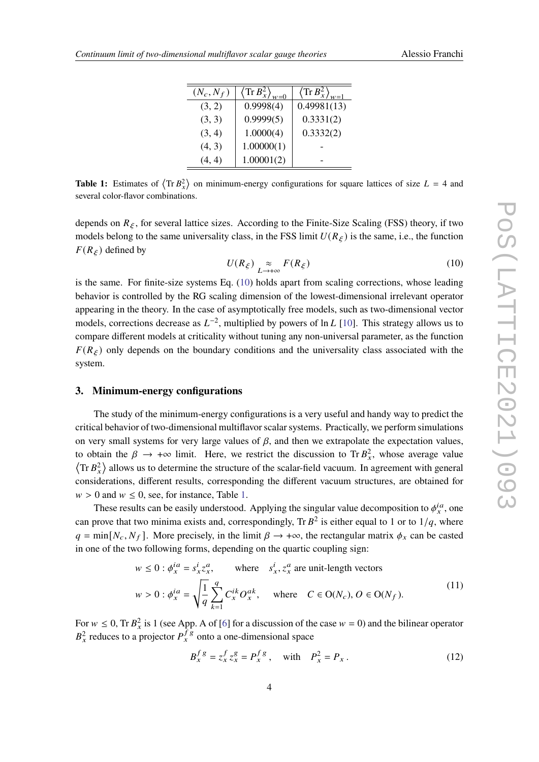| $(N_c, N_f)$ | $\left\langle \text{Tr}\,B_x^2 \right\rangle_{w=0}$ | $\left\langle \text{Tr}\,B_x^2 \right\rangle_{w=1}$ |
|--------------|-----------------------------------------------------|-----------------------------------------------------|
| (3, 2)       | 0.9998(4)                                           | 0.49981(13)                                         |
| (3, 3)       | 0.9999(5)                                           | 0.3331(2)                                           |
| (3, 4)       | 1.0000(4)                                           | 0.3332(2)                                           |
| (4, 3)       | 1.00000(1)                                          |                                                     |
| (4, 4)       | 1.00001(2)                                          |                                                     |

<span id="page-3-1"></span>**Table 1:** Estimates of  $\langle \text{Tr } B_x^2 \rangle$  on minimum-energy configurations for square lattices of size  $L = 4$  and several color-flavor combinations.

depends on  $R_{\xi}$ , for several lattice sizes. According to the Finite-Size Scaling (FSS) theory, if two models belong to the same universality class, in the FSS limit  $U(R_\xi)$  is the same, i.e., the function  $F(R_{\xi})$  defined by

<span id="page-3-0"></span>
$$
U(R_{\xi}) \underset{L \to +\infty}{\approx} F(R_{\xi}) \tag{10}
$$

is the same. For finite-size systems Eq. [\(10\)](#page-3-0) holds apart from scaling corrections, whose leading behavior is controlled by the RG scaling dimension of the lowest-dimensional irrelevant operator appearing in the theory. In the case of asymptotically free models, such as two-dimensional vector models, corrections decrease as  $L^{-2}$ , multiplied by powers of ln L [\[10\]](#page-6-7). This strategy allows us to compare different models at criticality without tuning any non-universal parameter, as the function  $F(R_f)$  only depends on the boundary conditions and the universality class associated with the system.

#### **3. Minimum-energy configurations**

The study of the minimum-energy configurations is a very useful and handy way to predict the critical behavior of two-dimensional multiflavor scalar systems. Practically, we perform simulations on very small systems for very large values of  $\beta$ , and then we extrapolate the expectation values, to obtain the  $\beta \to +\infty$  limit. Here, we restrict the discussion to Tr  $B_x^2$ , whose average value  $\langle$ Tr  $B_x^2$  allows us to determine the structure of the scalar-field vacuum. In agreement with general considerations, different results, corresponding the different vacuum structures, are obtained for  $w > 0$  and  $w \le 0$ , see, for instance, Table [1.](#page-3-1)

These results can be easily understood. Applying the singular value decomposition to  $\phi_x^{ia}$ , one can prove that two minima exists and, correspondingly, Tr  $B^2$  is either equal to 1 or to  $1/q$ , where  $q = \min[N_c, N_f]$ . More precisely, in the limit  $\beta \to +\infty$ , the rectangular matrix  $\phi_x$  can be casted in one of the two following forms, depending on the quartic coupling sign:

<span id="page-3-2"></span>
$$
w \le 0 : \phi_x^{ia} = s_x^i z_x^a, \qquad \text{where} \quad s_x^i, z_x^a \text{ are unit-length vectors}
$$
  

$$
w > 0 : \phi_x^{ia} = \sqrt{\frac{1}{q} \sum_{k=1}^q C_x^{ik} O_x^{ak}}, \qquad \text{where} \quad C \in O(N_c), O \in O(N_f).
$$
 (11)

For  $w \le 0$ , Tr  $B_x^2$  is 1 (see App. A of [\[6\]](#page-6-5) for a discussion of the case  $w = 0$ ) and the bilinear operator  $B_x^2$  reduces to a projector  $P_x^f$ <sup>s</sup> onto a one-dimensional space

$$
B_x^f{}^g = z_x^f z_x^g = P_x^f{}^g , \quad \text{with} \quad P_x^2 = P_x . \tag{12}
$$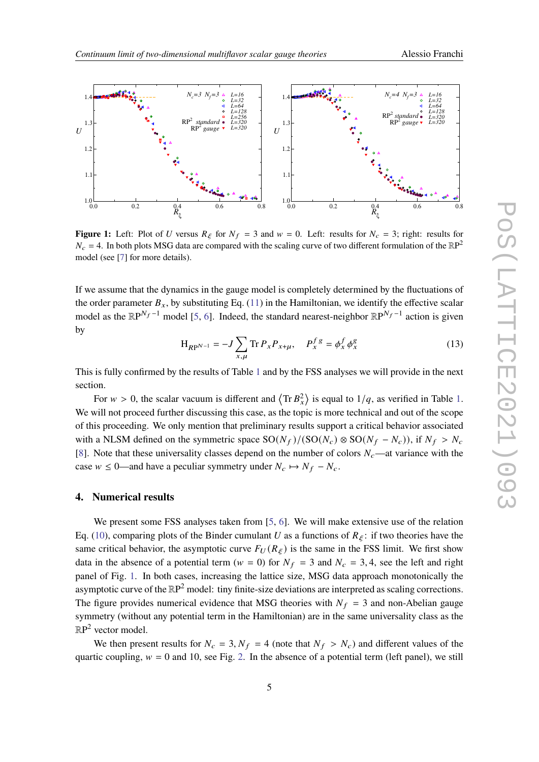<span id="page-4-0"></span>

**Figure 1:** Left: Plot of U versus  $R_{\xi}$  for  $N_f = 3$  and  $w = 0$ . Left: results for  $N_c = 3$ ; right: results for  $N_c = 4$ . In both plots MSG data are compared with the scaling curve of two different formulation of the  $\mathbb{R}P^2$ model (see [\[7\]](#page-6-8) for more details).

If we assume that the dynamics in the gauge model is completely determined by the fluctuations of the order parameter  $B_x$ , by substituting Eq. [\(11\)](#page-3-2) in the Hamiltonian, we identify the effective scalar model as the  $\mathbb{R}P^{N_f-1}$  model [\[5,](#page-6-4) [6\]](#page-6-5). Indeed, the standard nearest-neighbor  $\mathbb{R}P^{N_f-1}$  action is given by

$$
H_{RP^{N-1}} = -J \sum_{x,\mu} \text{Tr} \, P_x P_{x+\mu}, \quad P_x^f{}^g = \phi_x^f \, \phi_x^g \tag{13}
$$

This is fully confirmed by the results of Table [1](#page-3-1) and by the FSS analyses we will provide in the next section.

For  $w > 0$ , the scalar vacuum is different and  $\langle \text{Tr } B_x^2 \rangle$  is equal to  $1/q$ , as verified in Table [1.](#page-3-1) We will not proceed further discussing this case, as the topic is more technical and out of the scope of this proceeding. We only mention that preliminary results support a critical behavior associated with a NLSM defined on the symmetric space  $SO(N_f)/(SO(N_c) \otimes SO(N_f - N_c))$ , if  $N_f > N_c$ [\[8\]](#page-6-6). Note that these universality classes depend on the number of colors  $N_c$ —at variance with the case  $w \le 0$ —and have a peculiar symmetry under  $N_c \mapsto N_f - N_c$ .

#### **4. Numerical results**

We present some FSS analyses taken from [\[5,](#page-6-4) [6\]](#page-6-5). We will make extensive use of the relation Eq. [\(10\)](#page-3-0), comparing plots of the Binder cumulant U as a functions of  $R_{\xi}$ : if two theories have the same critical behavior, the asymptotic curve  $F_U(R_\xi)$  is the same in the FSS limit. We first show data in the absence of a potential term ( $w = 0$ ) for  $N_f = 3$  and  $N_c = 3, 4$ , see the left and right panel of Fig. [1.](#page-4-0) In both cases, increasing the lattice size, MSG data approach monotonically the asymptotic curve of the  $\mathbb{R}P^2$  model: tiny finite-size deviations are interpreted as scaling corrections. The figure provides numerical evidence that MSG theories with  $N_f = 3$  and non-Abelian gauge symmetry (without any potential term in the Hamiltonian) are in the same universality class as the  $\mathbb{R}P^2$  vector model.

We then present results for  $N_c = 3$ ,  $N_f = 4$  (note that  $N_f > N_c$ ) and different values of the quartic coupling,  $w = 0$  and 10, see Fig. [2.](#page-5-0) In the absence of a potential term (left panel), we still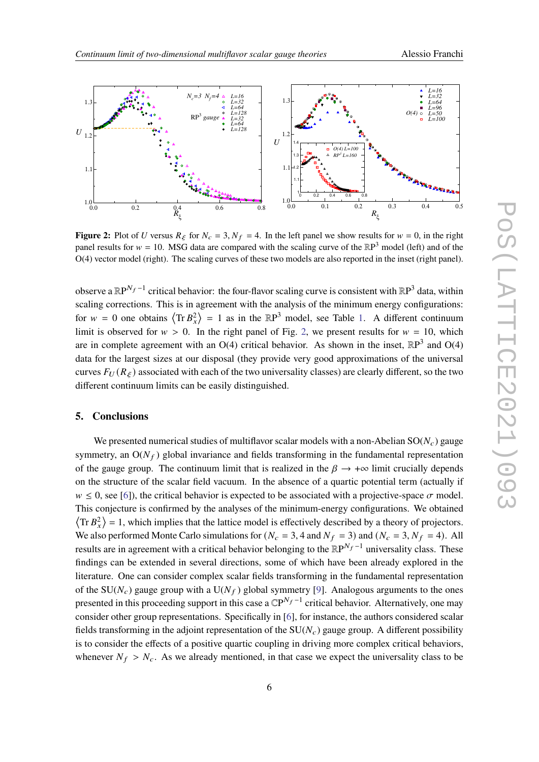<span id="page-5-0"></span>

**Figure 2:** Plot of U versus  $R_{\xi}$  for  $N_c = 3$ ,  $N_f = 4$ . In the left panel we show results for  $w = 0$ , in the right panel results for  $w = 10$ . MSG data are compared with the scaling curve of the  $\mathbb{R}P^3$  model (left) and of the O(4) vector model (right). The scaling curves of these two models are also reported in the inset (right panel).

observe a  $\mathbb{R}P^{N_f-1}$  critical behavior: the four-flavor scaling curve is consistent with  $\mathbb{R}P^3$  data, within scaling corrections. This is in agreement with the analysis of the minimum energy configurations: for  $w = 0$  one obtains  $\langle \text{Tr } B_x^2 \rangle = 1$  as in the  $\mathbb{R}P^3$  model, see Table [1.](#page-3-1) A different continuum limit is observed for  $w > 0$ . In the right panel of Fig. [2,](#page-5-0) we present results for  $w = 10$ , which are in complete agreement with an O(4) critical behavior. As shown in the inset,  $\mathbb{R}P^3$  and O(4) data for the largest sizes at our disposal (they provide very good approximations of the universal curves  $F_U(R_\varepsilon)$  associated with each of the two universality classes) are clearly different, so the two different continuum limits can be easily distinguished.

### **5. Conclusions**

We presented numerical studies of multiflavor scalar models with a non-Abelian  $SO(N_c)$  gauge symmetry, an  $O(N_f)$  global invariance and fields transforming in the fundamental representation of the gauge group. The continuum limit that is realized in the  $\beta \to +\infty$  limit crucially depends on the structure of the scalar field vacuum. In the absence of a quartic potential term (actually if  $w \le 0$ , see [\[6\]](#page-6-5)), the critical behavior is expected to be associated with a projective-space  $\sigma$  model. This conjecture is confirmed by the analyses of the minimum-energy configurations. We obtained  $\langle \text{Tr } B_x^2 \rangle = 1$ , which implies that the lattice model is effectively described by a theory of projectors. We also performed Monte Carlo simulations for  $(N_c = 3, 4$  and  $N_f = 3)$  and  $(N_c = 3, N_f = 4)$ . All results are in agreement with a critical behavior belonging to the  $\mathbb{R}P^{N_f-1}$  universality class. These findings can be extended in several directions, some of which have been already explored in the literature. One can consider complex scalar fields transforming in the fundamental representation of the SU( $N_c$ ) gauge group with a U( $N_f$ ) global symmetry [\[9\]](#page-6-9). Analogous arguments to the ones presented in this proceeding support in this case a  $\mathbb{C}P^{N_f-1}$  critical behavior. Alternatively, one may consider other group representations. Specifically in [\[6\]](#page-6-5), for instance, the authors considered scalar fields transforming in the adjoint representation of the  $SU(N_c)$  gauge group. A different possibility is to consider the effects of a positive quartic coupling in driving more complex critical behaviors, whenever  $N_f > N_c$ . As we already mentioned, in that case we expect the universality class to be